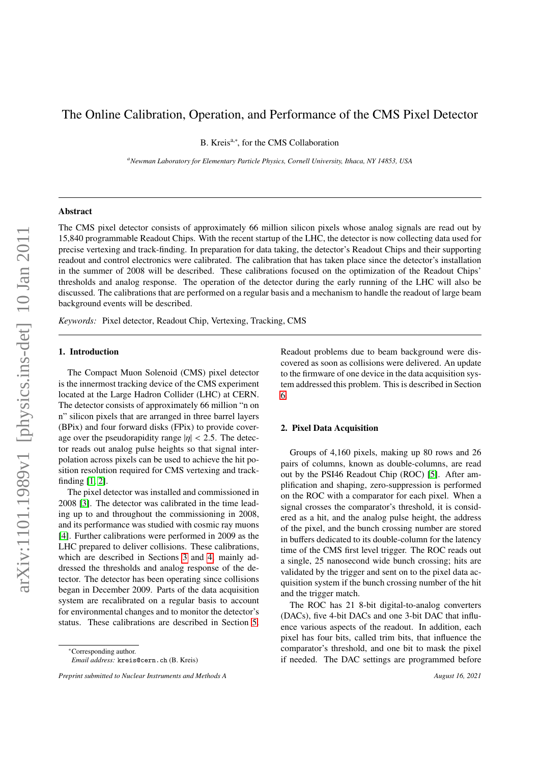# The Online Calibration, Operation, and Performance of the CMS Pixel Detector

B. Kreis<sup>a,∗</sup>, for the CMS Collaboration

*<sup>a</sup>Newman Laboratory for Elementary Particle Physics, Cornell University, Ithaca, NY 14853, USA*

# Abstract

The CMS pixel detector consists of approximately 66 million silicon pixels whose analog signals are read out by 15,840 programmable Readout Chips. With the recent startup of the LHC, the detector is now collecting data used for precise vertexing and track-finding. In preparation for data taking, the detector's Readout Chips and their supporting readout and control electronics were calibrated. The calibration that has taken place since the detector's installation in the summer of 2008 will be described. These calibrations focused on the optimization of the Readout Chips' thresholds and analog response. The operation of the detector during the early running of the LHC will also be discussed. The calibrations that are performed on a regular basis and a mechanism to handle the readout of large beam background events will be described.

*Keywords:* Pixel detector, Readout Chip, Vertexing, Tracking, CMS

# 1. Introduction

The Compact Muon Solenoid (CMS) pixel detector is the innermost tracking device of the CMS experiment located at the Large Hadron Collider (LHC) at CERN. The detector consists of approximately 66 million "n on n" silicon pixels that are arranged in three barrel layers (BPix) and four forward disks (FPix) to provide coverage over the pseudorapidity range  $|\eta| < 2.5$ . The detector reads out analog pulse heights so that signal interpolation across pixels can be used to achieve the hit position resolution required for CMS vertexing and trackfinding [\[1,](#page-5-0) [2\]](#page-5-1).

The pixel detector was installed and commissioned in 2008 [\[3\]](#page-5-2). The detector was calibrated in the time leading up to and throughout the commissioning in 2008, and its performance was studied with cosmic ray muons [\[4\]](#page-5-3). Further calibrations were performed in 2009 as the LHC prepared to deliver collisions. These calibrations, which are described in Sections [3](#page-1-0) and [4,](#page-4-0) mainly addressed the thresholds and analog response of the detector. The detector has been operating since collisions began in December 2009. Parts of the data acquisition system are recalibrated on a regular basis to account for environmental changes and to monitor the detector's status. These calibrations are described in Section [5.](#page-4-1)

Readout problems due to beam background were discovered as soon as collisions were delivered. An update to the firmware of one device in the data acquisition system addressed this problem. This is described in Section [6.](#page-4-2)

### 2. Pixel Data Acquisition

Groups of 4,160 pixels, making up 80 rows and 26 pairs of columns, known as double-columns, are read out by the PSI46 Readout Chip (ROC) [\[5\]](#page-5-4). After amplification and shaping, zero-suppression is performed on the ROC with a comparator for each pixel. When a signal crosses the comparator's threshold, it is considered as a hit, and the analog pulse height, the address of the pixel, and the bunch crossing number are stored in buffers dedicated to its double-column for the latency time of the CMS first level trigger. The ROC reads out a single, 25 nanosecond wide bunch crossing; hits are validated by the trigger and sent on to the pixel data acquisition system if the bunch crossing number of the hit and the trigger match.

The ROC has 21 8-bit digital-to-analog converters (DACs), five 4-bit DACs and one 3-bit DAC that influence various aspects of the readout. In addition, each pixel has four bits, called trim bits, that influence the comparator's threshold, and one bit to mask the pixel if needed. The DAC settings are programmed before

<sup>∗</sup>Corresponding author.

*Email address:* kreis@cern.ch (B. Kreis)

*Preprint submitted to Nuclear Instruments and Methods A* August 16, 2021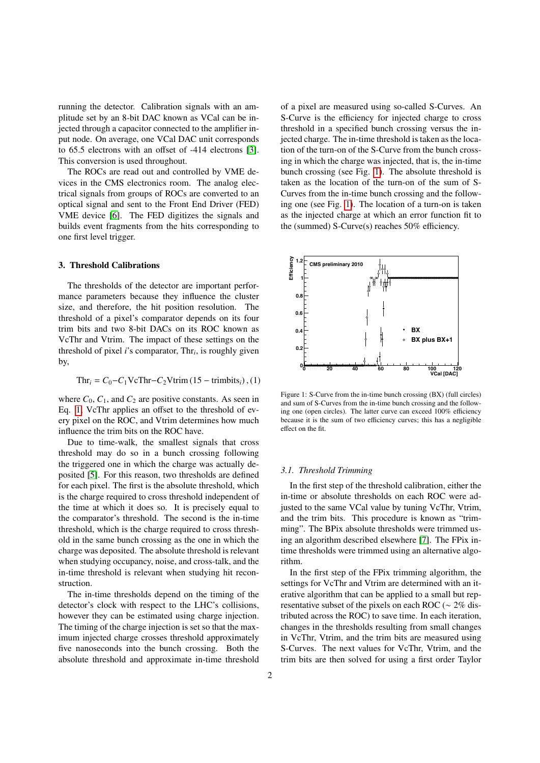running the detector. Calibration signals with an amplitude set by an 8-bit DAC known as VCal can be injected through a capacitor connected to the amplifier input node. On average, one VCal DAC unit corresponds to 65.5 electrons with an offset of -414 electrons [\[3\]](#page-5-2). This conversion is used throughout.

The ROCs are read out and controlled by VME devices in the CMS electronics room. The analog electrical signals from groups of ROCs are converted to an optical signal and sent to the Front End Driver (FED) VME device [\[6\]](#page-5-5). The FED digitizes the signals and builds event fragments from the hits corresponding to one first level trigger.

# <span id="page-1-0"></span>3. Threshold Calibrations

The thresholds of the detector are important performance parameters because they influence the cluster size, and therefore, the hit position resolution. The threshold of a pixel's comparator depends on its four trim bits and two 8-bit DACs on its ROC known as VcThr and Vtrim. The impact of these settings on the threshold of pixel *i*'s comparator, Thr*<sup>i</sup>* , is roughly given by,

<span id="page-1-1"></span>
$$
Thr_i = C_0 - C_1 VcThr - C_2 Vtrim (15 - trimbits_i), (1)
$$

where  $C_0$ ,  $C_1$ , and  $C_2$  are positive constants. As seen in Eq. [1,](#page-1-1) VcThr applies an offset to the threshold of every pixel on the ROC, and Vtrim determines how much influence the trim bits on the ROC have.

Due to time-walk, the smallest signals that cross threshold may do so in a bunch crossing following the triggered one in which the charge was actually deposited [\[5\]](#page-5-4). For this reason, two thresholds are defined for each pixel. The first is the absolute threshold, which is the charge required to cross threshold independent of the time at which it does so. It is precisely equal to the comparator's threshold. The second is the in-time threshold, which is the charge required to cross threshold in the same bunch crossing as the one in which the charge was deposited. The absolute threshold is relevant when studying occupancy, noise, and cross-talk, and the in-time threshold is relevant when studying hit reconstruction.

The in-time thresholds depend on the timing of the detector's clock with respect to the LHC's collisions, however they can be estimated using charge injection. The timing of the charge injection is set so that the maximum injected charge crosses threshold approximately five nanoseconds into the bunch crossing. Both the absolute threshold and approximate in-time threshold

of a pixel are measured using so-called S-Curves. An S-Curve is the efficiency for injected charge to cross threshold in a specified bunch crossing versus the injected charge. The in-time threshold is taken as the location of the turn-on of the S-Curve from the bunch crossing in which the charge was injected, that is, the in-time bunch crossing (see Fig. [1\)](#page-1-2). The absolute threshold is taken as the location of the turn-on of the sum of S-Curves from the in-time bunch crossing and the following one (see Fig. [1\)](#page-1-2). The location of a turn-on is taken as the injected charge at which an error function fit to the (summed) S-Curve(s) reaches 50% efficiency.



<span id="page-1-2"></span>Figure 1: S-Curve from the in-time bunch crossing (BX) (full circles) and sum of S-Curves from the in-time bunch crossing and the following one (open circles). The latter curve can exceed 100% efficiency because it is the sum of two efficiency curves; this has a negligible effect on the fit.

### *3.1. Threshold Trimming*

In the first step of the threshold calibration, either the in-time or absolute thresholds on each ROC were adjusted to the same VCal value by tuning VcThr, Vtrim, and the trim bits. This procedure is known as "trimming". The BPix absolute thresholds were trimmed using an algorithm described elsewhere [\[7\]](#page-5-6). The FPix intime thresholds were trimmed using an alternative algorithm.

In the first step of the FPix trimming algorithm, the settings for VcThr and Vtrim are determined with an iterative algorithm that can be applied to a small but representative subset of the pixels on each ROC (∼ 2% distributed across the ROC) to save time. In each iteration, changes in the thresholds resulting from small changes in VcThr, Vtrim, and the trim bits are measured using S-Curves. The next values for VcThr, Vtrim, and the trim bits are then solved for using a first order Taylor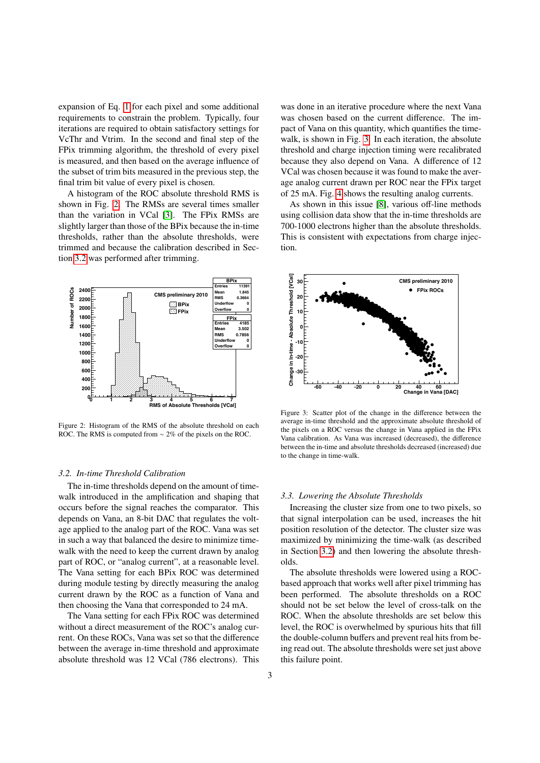expansion of Eq. [1](#page-1-1) for each pixel and some additional requirements to constrain the problem. Typically, four iterations are required to obtain satisfactory settings for VcThr and Vtrim. In the second and final step of the FPix trimming algorithm, the threshold of every pixel is measured, and then based on the average influence of the subset of trim bits measured in the previous step, the final trim bit value of every pixel is chosen.

A histogram of the ROC absolute threshold RMS is shown in Fig. [2.](#page-2-0) The RMSs are several times smaller than the variation in VCal [\[3\]](#page-5-2). The FPix RMSs are slightly larger than those of the BPix because the in-time thresholds, rather than the absolute thresholds, were trimmed and because the calibration described in Section [3.2](#page-2-1) was performed after trimming.



<span id="page-2-0"></span>Figure 2: Histogram of the RMS of the absolute threshold on each ROC. The RMS is computed from ∼ 2% of the pixels on the ROC.

#### <span id="page-2-1"></span>*3.2. In-time Threshold Calibration*

The in-time thresholds depend on the amount of timewalk introduced in the amplification and shaping that occurs before the signal reaches the comparator. This depends on Vana, an 8-bit DAC that regulates the voltage applied to the analog part of the ROC. Vana was set in such a way that balanced the desire to minimize timewalk with the need to keep the current drawn by analog part of ROC, or "analog current", at a reasonable level. The Vana setting for each BPix ROC was determined during module testing by directly measuring the analog current drawn by the ROC as a function of Vana and then choosing the Vana that corresponded to 24 mA.

The Vana setting for each FPix ROC was determined without a direct measurement of the ROC's analog current. On these ROCs, Vana was set so that the difference between the average in-time threshold and approximate absolute threshold was 12 VCal (786 electrons). This was done in an iterative procedure where the next Vana was chosen based on the current difference. The impact of Vana on this quantity, which quantifies the timewalk, is shown in Fig. [3.](#page-2-2) In each iteration, the absolute threshold and charge injection timing were recalibrated because they also depend on Vana. A difference of 12 VCal was chosen because it was found to make the average analog current drawn per ROC near the FPix target of 25 mA. Fig. [4](#page-3-0) shows the resulting analog currents.

As shown in this issue [\[8\]](#page-5-7), various off-line methods using collision data show that the in-time thresholds are 700-1000 electrons higher than the absolute thresholds. This is consistent with expectations from charge injection.



<span id="page-2-2"></span>Figure 3: Scatter plot of the change in the difference between the average in-time threshold and the approximate absolute threshold of the pixels on a ROC versus the change in Vana applied in the FPix Vana calibration. As Vana was increased (decreased), the difference between the in-time and absolute thresholds decreased (increased) due to the change in time-walk.

# *3.3. Lowering the Absolute Thresholds*

Increasing the cluster size from one to two pixels, so that signal interpolation can be used, increases the hit position resolution of the detector. The cluster size was maximized by minimizing the time-walk (as described in Section [3.2\)](#page-2-1) and then lowering the absolute thresholds.

The absolute thresholds were lowered using a ROCbased approach that works well after pixel trimming has been performed. The absolute thresholds on a ROC should not be set below the level of cross-talk on the ROC. When the absolute thresholds are set below this level, the ROC is overwhelmed by spurious hits that fill the double-column buffers and prevent real hits from being read out. The absolute thresholds were set just above this failure point.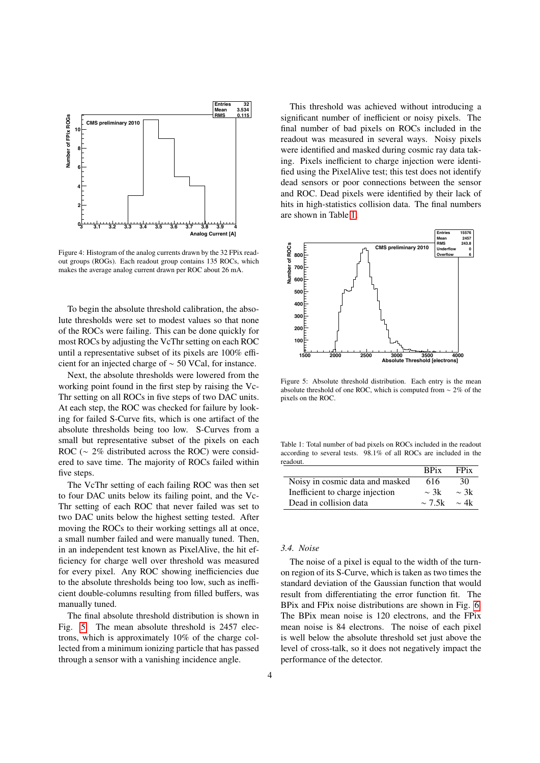

<span id="page-3-0"></span>Figure 4: Histogram of the analog currents drawn by the 32 FPix readout groups (ROGs). Each readout group contains 135 ROCs, which makes the average analog current drawn per ROC about 26 mA.

To begin the absolute threshold calibration, the absolute thresholds were set to modest values so that none of the ROCs were failing. This can be done quickly for most ROCs by adjusting the VcThr setting on each ROC until a representative subset of its pixels are 100% efficient for an injected charge of ∼ 50 VCal, for instance.

Next, the absolute thresholds were lowered from the working point found in the first step by raising the Vc-Thr setting on all ROCs in five steps of two DAC units. At each step, the ROC was checked for failure by looking for failed S-Curve fits, which is one artifact of the absolute thresholds being too low. S-Curves from a small but representative subset of the pixels on each ROC (∼ 2% distributed across the ROC) were considered to save time. The majority of ROCs failed within five steps.

The VcThr setting of each failing ROC was then set to four DAC units below its failing point, and the Vc-Thr setting of each ROC that never failed was set to two DAC units below the highest setting tested. After moving the ROCs to their working settings all at once, a small number failed and were manually tuned. Then, in an independent test known as PixelAlive, the hit efficiency for charge well over threshold was measured for every pixel. Any ROC showing inefficiencies due to the absolute thresholds being too low, such as inefficient double-columns resulting from filled buffers, was manually tuned.

The final absolute threshold distribution is shown in Fig. [5.](#page-3-1) The mean absolute threshold is 2457 electrons, which is approximately 10% of the charge collected from a minimum ionizing particle that has passed through a sensor with a vanishing incidence angle.

This threshold was achieved without introducing a significant number of inefficient or noisy pixels. The final number of bad pixels on ROCs included in the readout was measured in several ways. Noisy pixels were identified and masked during cosmic ray data taking. Pixels inefficient to charge injection were identified using the PixelAlive test; this test does not identify dead sensors or poor connections between the sensor and ROC. Dead pixels were identified by their lack of hits in high-statistics collision data. The final numbers are shown in Table [1.](#page-3-2)



<span id="page-3-1"></span>Figure 5: Absolute threshold distribution. Each entry is the mean absolute threshold of one ROC, which is computed from ∼ 2% of the pixels on the ROC.

<span id="page-3-2"></span>Table 1: Total number of bad pixels on ROCs included in the readout according to several tests. 98.1% of all ROCs are included in the readout.

|                                 | BPix                  | FPix |
|---------------------------------|-----------------------|------|
| Noisy in cosmic data and masked | 616                   | 30   |
| Inefficient to charge injection | $\sim$ 3k $\sim$ 3k   |      |
| Dead in collision data          | $\sim$ 7.5k $\sim$ 4k |      |
|                                 |                       |      |

#### *3.4. Noise*

The noise of a pixel is equal to the width of the turnon region of its S-Curve, which is taken as two times the standard deviation of the Gaussian function that would result from differentiating the error function fit. The BPix and FPix noise distributions are shown in Fig. [6.](#page-4-3) The BPix mean noise is 120 electrons, and the FPix mean noise is 84 electrons. The noise of each pixel is well below the absolute threshold set just above the level of cross-talk, so it does not negatively impact the performance of the detector.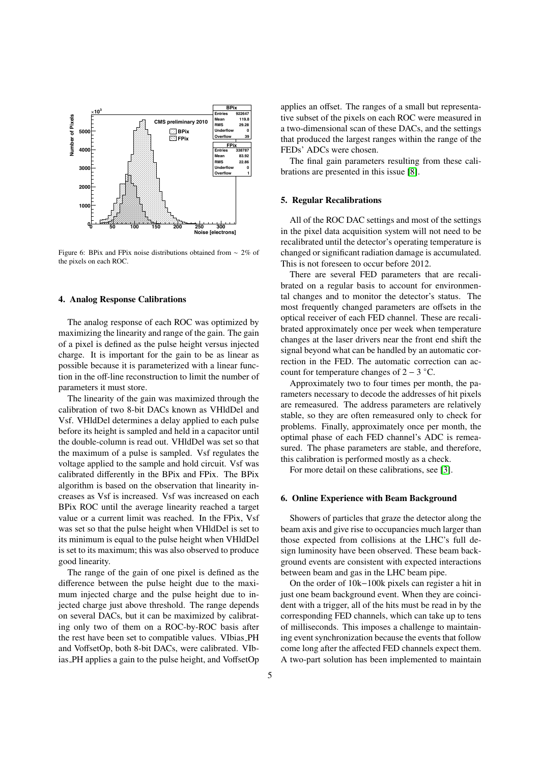

<span id="page-4-3"></span>Figure 6: BPix and FPix noise distributions obtained from ∼ 2% of the pixels on each ROC.

#### <span id="page-4-0"></span>4. Analog Response Calibrations

The analog response of each ROC was optimized by maximizing the linearity and range of the gain. The gain of a pixel is defined as the pulse height versus injected charge. It is important for the gain to be as linear as possible because it is parameterized with a linear function in the off-line reconstruction to limit the number of parameters it must store.

The linearity of the gain was maximized through the calibration of two 8-bit DACs known as VHldDel and Vsf. VHldDel determines a delay applied to each pulse before its height is sampled and held in a capacitor until the double-column is read out. VHldDel was set so that the maximum of a pulse is sampled. Vsf regulates the voltage applied to the sample and hold circuit. Vsf was calibrated differently in the BPix and FPix. The BPix algorithm is based on the observation that linearity increases as Vsf is increased. Vsf was increased on each BPix ROC until the average linearity reached a target value or a current limit was reached. In the FPix, Vsf was set so that the pulse height when VHldDel is set to its minimum is equal to the pulse height when VHldDel is set to its maximum; this was also observed to produce good linearity.

The range of the gain of one pixel is defined as the difference between the pulse height due to the maximum injected charge and the pulse height due to injected charge just above threshold. The range depends on several DACs, but it can be maximized by calibrating only two of them on a ROC-by-ROC basis after the rest have been set to compatible values. VIbias PH and VoffsetOp, both 8-bit DACs, were calibrated. VIbias PH applies a gain to the pulse height, and VoffsetOp applies an offset. The ranges of a small but representative subset of the pixels on each ROC were measured in a two-dimensional scan of these DACs, and the settings that produced the largest ranges within the range of the FEDs' ADCs were chosen.

The final gain parameters resulting from these calibrations are presented in this issue [\[8\]](#page-5-7).

#### <span id="page-4-1"></span>5. Regular Recalibrations

All of the ROC DAC settings and most of the settings in the pixel data acquisition system will not need to be recalibrated until the detector's operating temperature is changed or significant radiation damage is accumulated. This is not foreseen to occur before 2012.

There are several FED parameters that are recalibrated on a regular basis to account for environmental changes and to monitor the detector's status. The most frequently changed parameters are offsets in the optical receiver of each FED channel. These are recalibrated approximately once per week when temperature changes at the laser drivers near the front end shift the signal beyond what can be handled by an automatic correction in the FED. The automatic correction can account for temperature changes of  $2 - 3$  °C.

Approximately two to four times per month, the parameters necessary to decode the addresses of hit pixels are remeasured. The address parameters are relatively stable, so they are often remeasured only to check for problems. Finally, approximately once per month, the optimal phase of each FED channel's ADC is remeasured. The phase parameters are stable, and therefore, this calibration is performed mostly as a check.

For more detail on these calibrations, see [\[3\]](#page-5-2).

#### <span id="page-4-2"></span>6. Online Experience with Beam Background

Showers of particles that graze the detector along the beam axis and give rise to occupancies much larger than those expected from collisions at the LHC's full design luminosity have been observed. These beam background events are consistent with expected interactions between beam and gas in the LHC beam pipe.

On the order of 10k−100k pixels can register a hit in just one beam background event. When they are coincident with a trigger, all of the hits must be read in by the corresponding FED channels, which can take up to tens of milliseconds. This imposes a challenge to maintaining event synchronization because the events that follow come long after the affected FED channels expect them. A two-part solution has been implemented to maintain